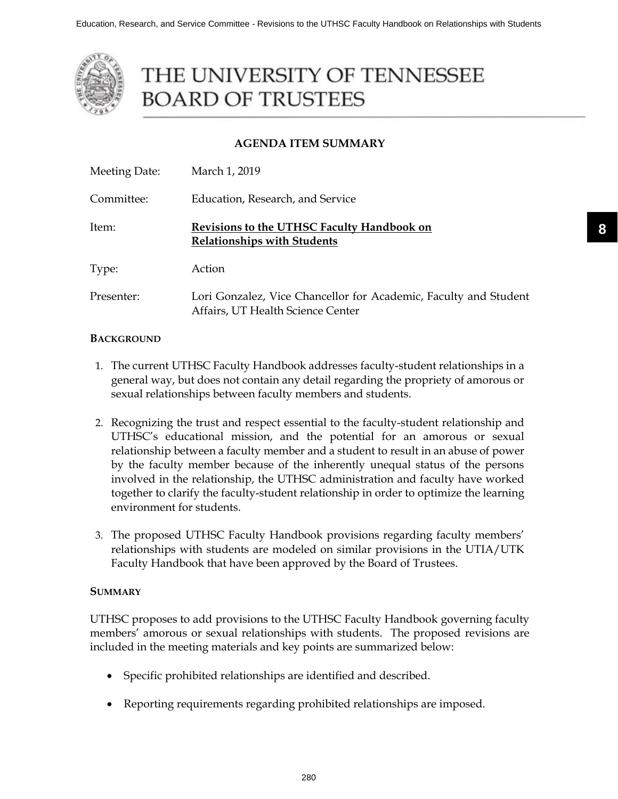

# THE UNIVERSITY OF TENNESSEE **BOARD OF TRUSTEES**

# **AGENDA ITEM SUMMARY**

| Meeting Date: | March 1, 2019                                                                                         |
|---------------|-------------------------------------------------------------------------------------------------------|
| Committee:    | Education, Research, and Service                                                                      |
| Item:         | Revisions to the UTHSC Faculty Handbook on<br><b>Relationships with Students</b>                      |
| Type:         | Action                                                                                                |
| Presenter:    | Lori Gonzalez, Vice Chancellor for Academic, Faculty and Student<br>Affairs, UT Health Science Center |

## **BACKGROUND**

- 1. The current UTHSC Faculty Handbook addresses faculty-student relationships in a general way, but does not contain any detail regarding the propriety of amorous or sexual relationships between faculty members and students.
- 2. Recognizing the trust and respect essential to the faculty-student relationship and UTHSC's educational mission, and the potential for an amorous or sexual relationship between a faculty member and a student to result in an abuse of power by the faculty member because of the inherently unequal status of the persons involved in the relationship, the UTHSC administration and faculty have worked together to clarify the faculty-student relationship in order to optimize the learning environment for students.
- 3. The proposed UTHSC Faculty Handbook provisions regarding faculty members' relationships with students are modeled on similar provisions in the UTIA/UTK Faculty Handbook that have been approved by the Board of Trustees.

# **SUMMARY**

UTHSC proposes to add provisions to the UTHSC Faculty Handbook governing faculty members' amorous or sexual relationships with students. The proposed revisions are included in the meeting materials and key points are summarized below:

- Specific prohibited relationships are identified and described.
- ∑ Reporting requirements regarding prohibited relationships are imposed.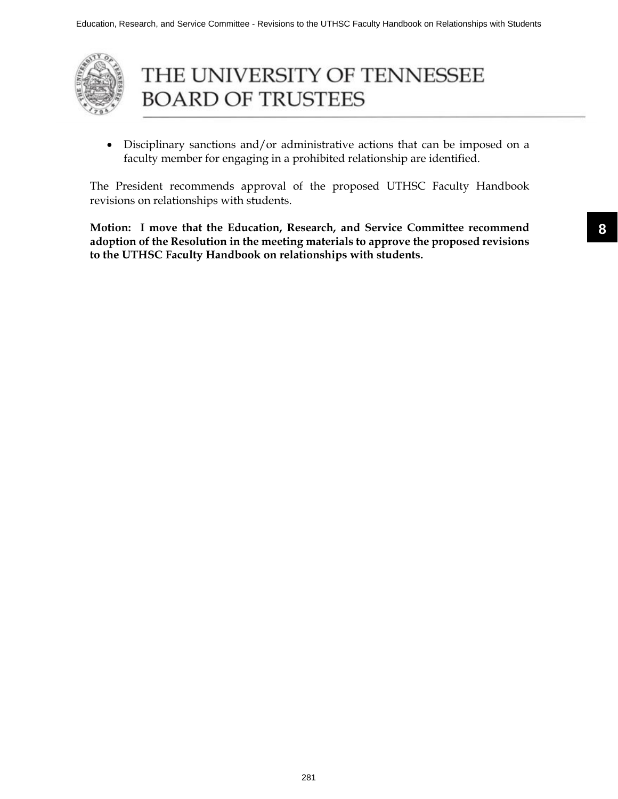

# THE UNIVERSITY OF TENNESSEE **BOARD OF TRUSTEES**

• Disciplinary sanctions and/or administrative actions that can be imposed on a faculty member for engaging in a prohibited relationship are identified.

The President recommends approval of the proposed UTHSC Faculty Handbook revisions on relationships with students.

**Motion: I move that the Education, Research, and Service Committee recommend adoption of the Resolution in the meeting materials to approve the proposed revisions to the UTHSC Faculty Handbook on relationships with students.**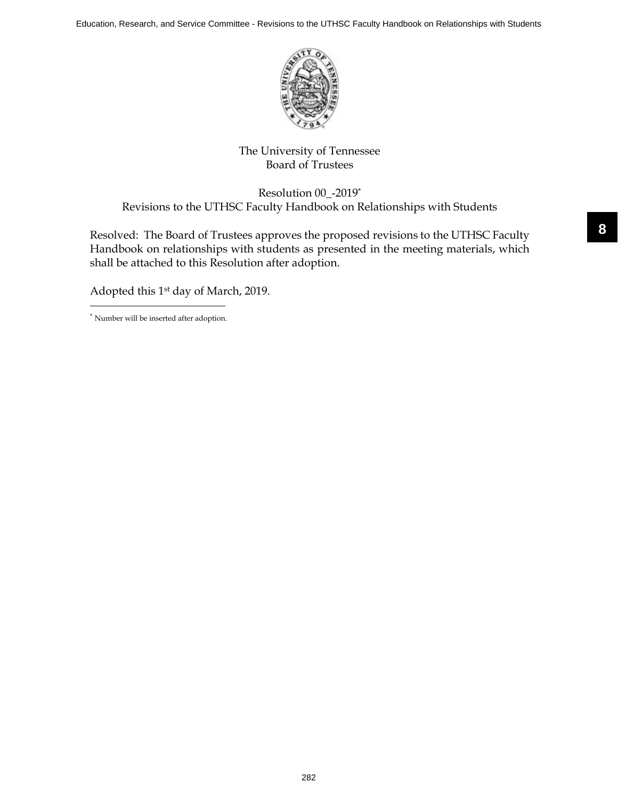Education, Research, and Service Committee - Revisions to the UTHSC Faculty Handbook on Relationships with Students



# The University of Tennessee Board of Trustees

Resolution 00\_-2019\* Revisions to the UTHSC Faculty Handbook on Relationships with Students

Resolved: The Board of Trustees approves the proposed revisions to the UTHSC Faculty Handbook on relationships with students as presented in the meeting materials, which shall be attached to this Resolution after adoption.

Adopted this 1st day of March, 2019.

\* Number will be inserted after adoption.

282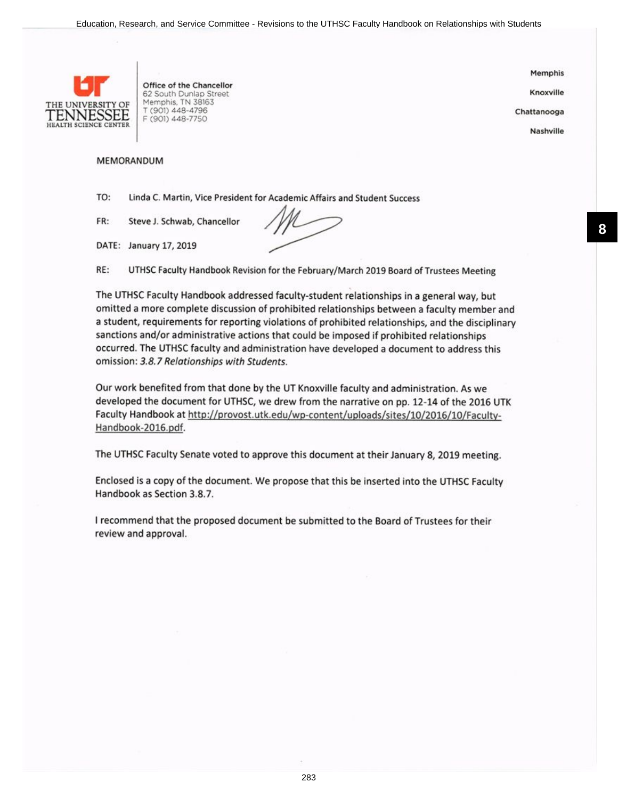

Office of the Chancellor 62 South Dunlap Street Memphis, TN 38163 T (901) 448-4796 F (901) 448-7750

Memphis

Knoxville

Chattanooga

Nashville

#### MEMORANDUM

TO: Linda C. Martin, Vice President for Academic Affairs and Student Success

FR: Steve J. Schwab, Chancellor

DATE: January 17, 2019

RE: UTHSC Faculty Handbook Revision for the February/March 2019 Board of Trustees Meeting

The UTHSC Faculty Handbook addressed faculty-student relationships in a general way, but omitted a more complete discussion of prohibited relationships between a faculty member and a student, requirements for reporting violations of prohibited relationships, and the disciplinary sanctions and/or administrative actions that could be imposed if prohibited relationships occurred. The UTHSC faculty and administration have developed a document to address this omission: 3.8.7 Relationships with Students.

Our work benefited from that done by the UT Knoxville faculty and administration. As we developed the document for UTHSC, we drew from the narrative on pp. 12-L4 of the 2016 UTK Faculty Handbook at http://provost.utk.edu/wp-content/uploads/sites/10/2016/10/Faculty-Handbook-2016.pdf.

The UTHSC Faculty Senate voted to approve this document at their January 8, 2019 meeting.

Enclosed is a copy of the document. We propose that this be inserted into the UTHSC Faculty Handbook as Section 3.8.7.

I recommend that the proposed document be submitted to the Board of Trustees for their review and approval.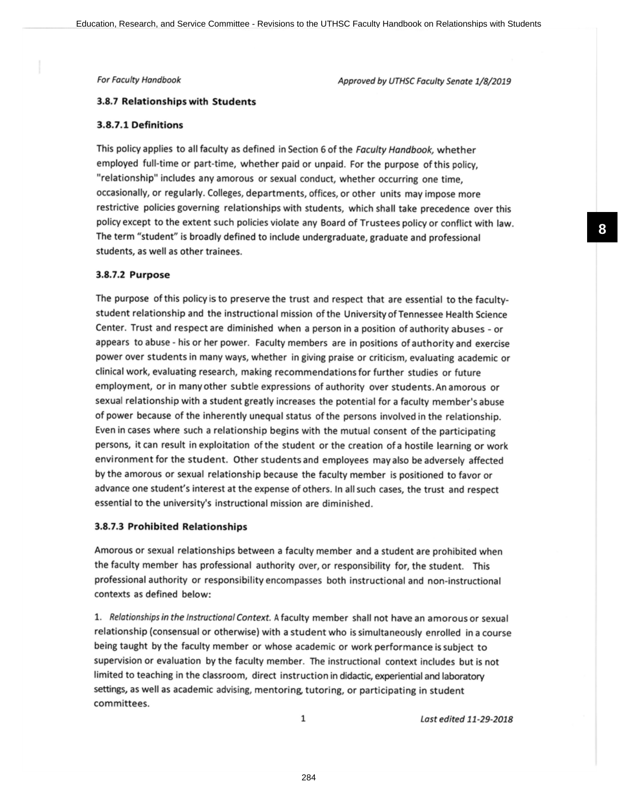For Faculty Handbook

Approved by UTHSC Faculty Sendte 1/8/2019

#### 3.8.7 Relationships with Students

#### 3.8.7.! Definitions

This policy applies to all faculty as defined in Section 6 of the Faculty Handbook, whether employed full-time or part-time, whether paid or unpaid. For the purpose of this policy, "relationship" includes any amorous or sexual conduct, whether occurring one time, occasionally, or regularly. Colleges, departments, offices, or other units may impose more restrictive policies governing relationships with students, which shall take precedence over this policy except to the extent such policies violate any Board of Trustees policy or conflict with law. The term "student" is broadly defined to include undergraduate, graduate and professional students, as well as other trainees.

#### 3.8.7.2 Purpose

The purpose of this policy is to preserve the trust and respect that are essential to the facultystudent relationship and the instructional mission of the Universityof Tennessee Health Science Center. Trust and respect are diminished when a person in a position of authority abuses - or appears to abuse - his or her power. Faculty members are in positions of authority and exercise power over students in many ways, whether in giving praise or criticism, evaluating academic or clinical work, evaluating research, making recommendations for further studies or future employment, or in manyother subtle expressions of authority over students.An amorous or sexual relationship with a student greatly increases the potential for a faculty member's abuse of power because of the inherently unequal status of the persons involved in the relationship. Even in cases where such a relationship begins with the mutual consent of the participating persons, it can result in exploitation of the student or the creation of a hostile learning or work environment for the student. Other students and employees may also be adversely affected bythe amorous or sexual relationship because the faculty member is positioned to favor or advance one student's interest at the expense of others. ln all such cases, the trust and respect essential to the university's instructional mission are diminished.

#### 3.8.7.3 Prohibited Relationships

Amorous or sexual relationships between a faculty member and a student are prohibited when the faculty member has professional authority over, or responsibility for, the student. This professional authority or responsibility encompasses both instructional and non-instructional contexts as defined below:

1. Relationships in the Instructional Context. A faculty member shall not have an amorous or sexual relationship (consensual or otherwise) with a student who is simultaneously enrolled in a course being taught by the faculty member or whose academic or work performance is subject to supervision or evaluation by the faculty member. The instructional context includes but is not limited to teaching in the classroom, direct instruction in didactic, experiential and laboratory settings, as well as academic advising, mentoring, tutoring, or participating in student committees.

1

Last edited 11-29-2018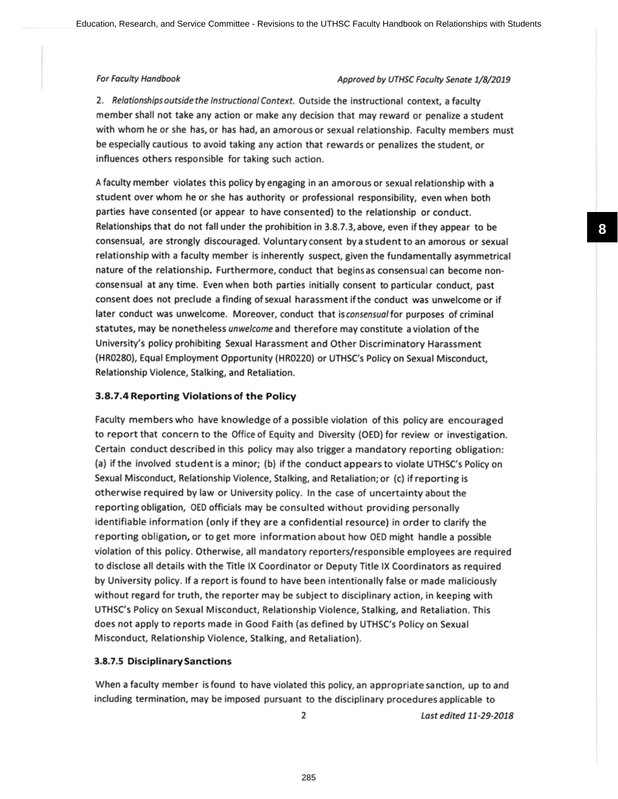### For Faculty Handbook **Approved by UTHSC Faculty Senate 1/8/2019**

2. Relationships outside the Instructional Context. Outside the instructional context, a faculty member shall not take any action or make any decision that may reward or penalize a student with whom he or she has, or has had, an amorous or sexual relationship. Faculty members must be especially cautious to avoid taking any action that rewards or penalizes the student, or influences others responsible for taking such action.

<sup>A</sup>faculty member violates this policy by engaging in an amorous or sexual relationship with <sup>a</sup> student over whom he or she has authority or professional responsibility, even when both parties have consented (or appear to have consented) to the relationship or conduct. Relationships that do not fall under the prohibition in 3.8.7.3, above, even if they appear to be consensual, are strongly discouraged. Voluntaryconsent bya studentto an amorous or sexual relationship with a faculty member is inherently suspect, given the fundamentally asymmetrical nature of the relationship. Furthermore, conduct that beginsas consensualcan become nonconsensual at any time. Evenwhen both parties initially consent to particular conduct, past consent does not preclude a finding of sexual harassment if the conduct was unwelcome or if later conduct was unwelcome. Moreover, conduct that is consensual for purposes of criminal statutes, may be nonetheless unwelcome and therefore may constitute a violation of the University's policy prohibiting Sexual Harassment and Other Discriminatory Harassment (HR0280), Equal Employment Opportunity (HR0220) or UTHSC's Policy on Sexual Misconduct, Relationship Violence, Stalking, and Retaliation.

#### 3.8.7.4 Reporting Violationsof the Policy

Faculty members who have knowledge of a possible violation of this policy are encouraged to report that concern to the Office of Equity and Diversity (OED) for review or investigation. Certain conduct described in this policy may also trigger a mandatory reporting obligation: (a) if the involved studentis a minor; (b) if the conductappearsto violate UTHSC's Policy on Sexual Misconduct, Relationship Violence, Stalking, and Retaliation; or (c) if reporting is otherwise required by law or University policy. ln the case of uncertainty about the reporting obligation, OED officials may be consulted without providing personally identifiable information (only if they are a confidential resource) in order to clarify the reporting obligation, or to get more information about how OED might handle a possible violation of this policy. Otherwise, all mandatory reporters/responsible employees are required to disclose all details with the Title lX Coordinator or Deputy Title lX Coordinators as required by University policy. lf a report is found to have been intentionally false or made maliciously without regard for truth, the reporter may be subject to disciplinary action, in keeping with UTHSC's Policy on Sexual Misconduct, Relationship Violence, Stalking, and Retaliation. This does not apply to reports made in Good Faith (as defined by UTHSC's Policy on Sexual Misconduct, Relationship Violence, Stalking, and Retaliation).

#### 3.8.7.5 Disciplinary Sanctions

When a faculty member is found to have violated this policy, an appropriate sanction, up to and including termination, may be imposed pursuant to the disciplinary proceduresapplicable to

2

Lost edited 11-29-2078

**8**